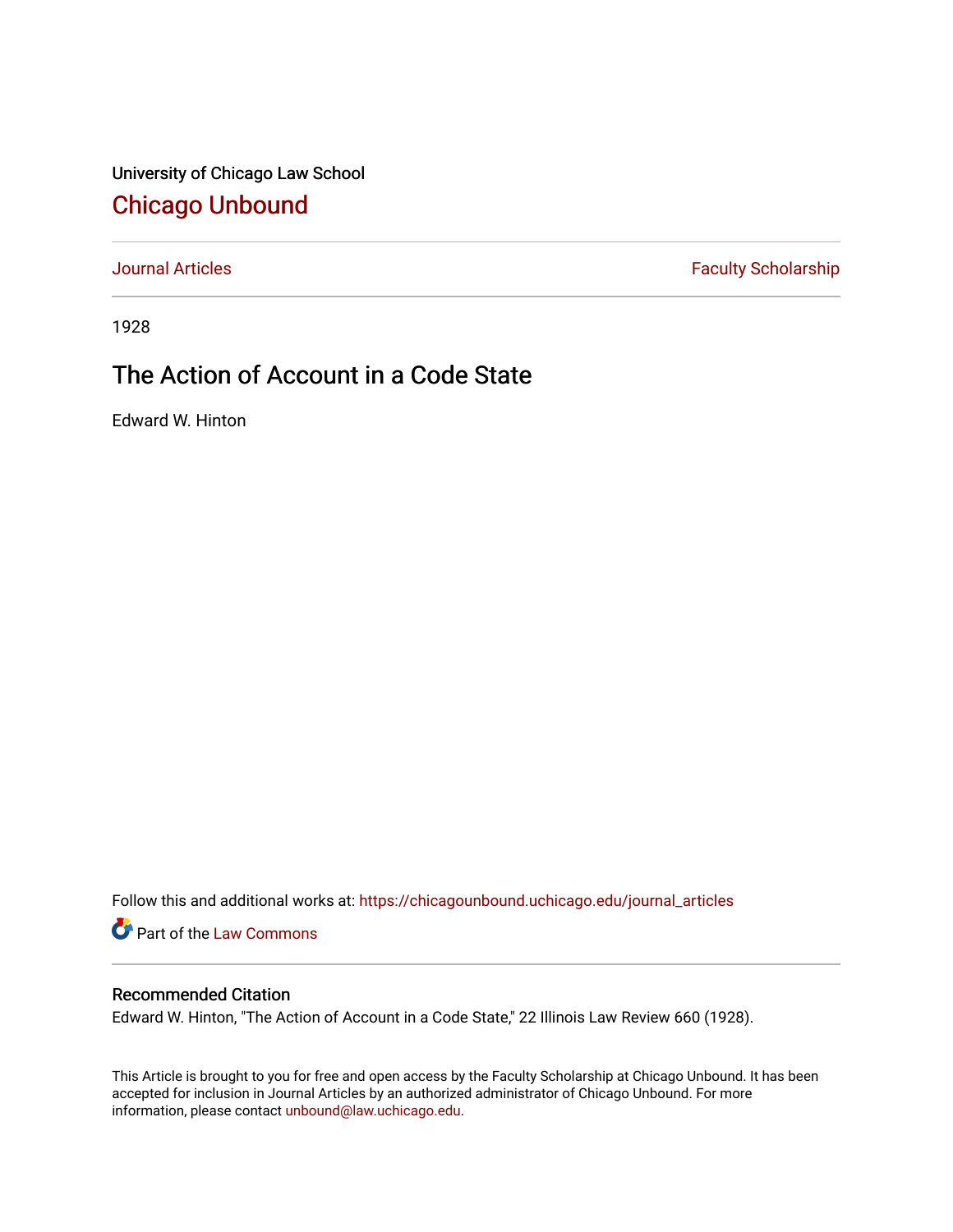University of Chicago Law School [Chicago Unbound](https://chicagounbound.uchicago.edu/)

[Journal Articles](https://chicagounbound.uchicago.edu/journal_articles) **Faculty Scholarship Faculty Scholarship** 

1928

## The Action of Account in a Code State

Edward W. Hinton

Follow this and additional works at: [https://chicagounbound.uchicago.edu/journal\\_articles](https://chicagounbound.uchicago.edu/journal_articles?utm_source=chicagounbound.uchicago.edu%2Fjournal_articles%2F9430&utm_medium=PDF&utm_campaign=PDFCoverPages) 

Part of the [Law Commons](http://network.bepress.com/hgg/discipline/578?utm_source=chicagounbound.uchicago.edu%2Fjournal_articles%2F9430&utm_medium=PDF&utm_campaign=PDFCoverPages)

## Recommended Citation

Edward W. Hinton, "The Action of Account in a Code State," 22 Illinois Law Review 660 (1928).

This Article is brought to you for free and open access by the Faculty Scholarship at Chicago Unbound. It has been accepted for inclusion in Journal Articles by an authorized administrator of Chicago Unbound. For more information, please contact [unbound@law.uchicago.edu](mailto:unbound@law.uchicago.edu).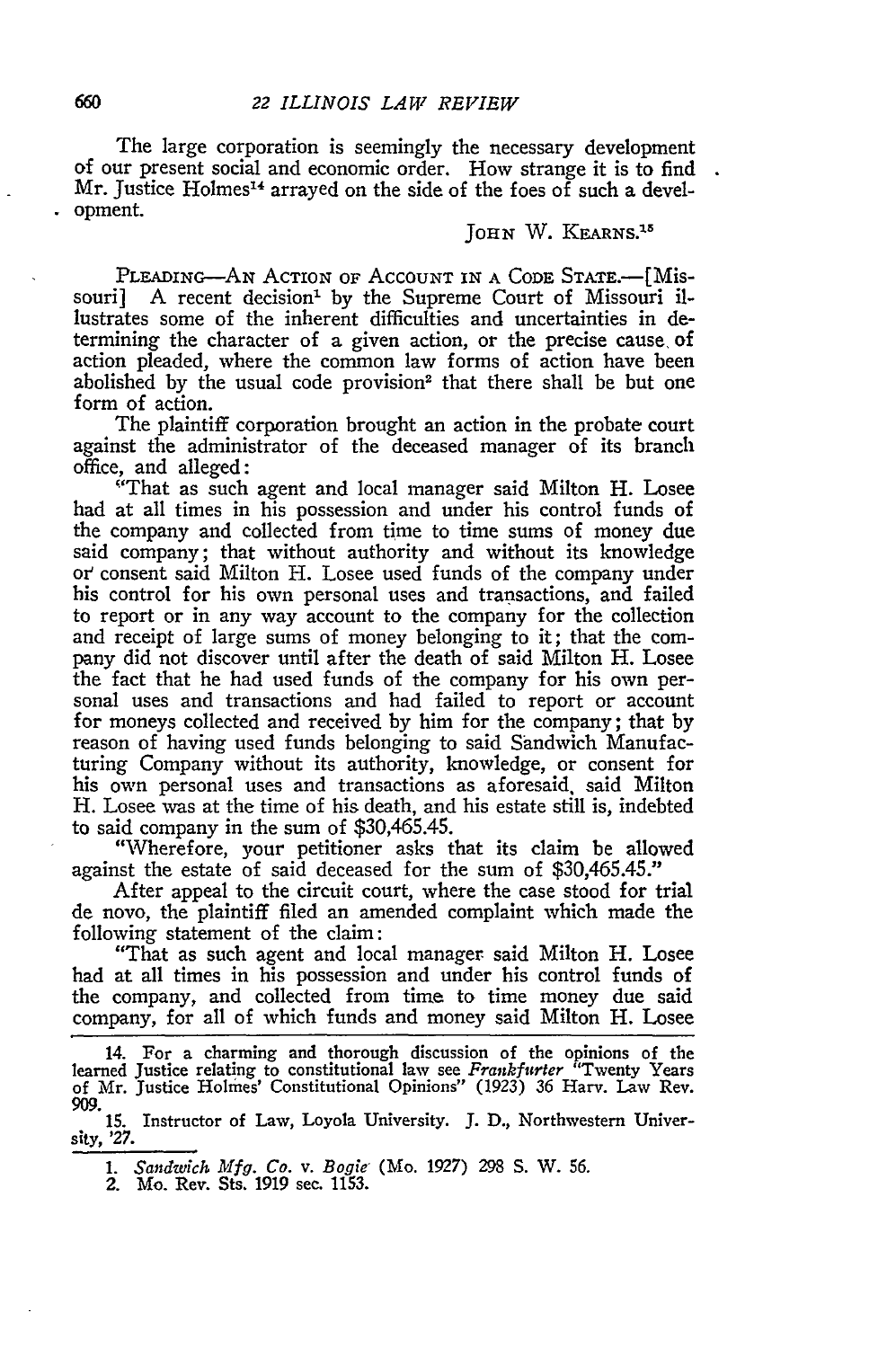The large corporation is seemingly the necessary development of our present social and economic order. How strange it is to find Mr. Justice Holmes<sup>14</sup> arrayed on the side of the foes of such a development.

## JOHN W. KEARNS.<sup>15</sup>

PLEADING-AN ACTION OF ACCOUNT IN A CODE STATE.-- [Missouri] **A** recent decision' **by** the Supreme Court of Missouri illustrates some of the inherent difficulties and uncertainties in determining the character of a given action, or the precise cause, of action pleaded, where the common law forms of action have been abolished **by** the usual code provision2 that there shall be but one form of action.

The plaintiff corporation brought an action in the probate court against the administrator of the deceased manager of its branch office, and alleged:

"That as such agent and local manager said Milton H. Losee had at all times in his possession and under his control funds of the company and collected from time to time sums of money due said company; that without authority and without its knowledge *or'* consent said Milton H. Losee used funds of the company under his control for his own personal uses and transactions, and failed to report or in any way account to the company for the collection and receipt of large sums of money belonging to it; that the company did not discover until after the death of said Milton H. Losee the fact that he had used funds of the company for his own personal uses and transactions and had failed to report or account for moneys collected and received by him for the company; that by reason of having used funds belonging to said Sandwich Manufacturing Company without its authority, knowledge, or consent for his own personal uses and transactions as aforesaid, said Milton H. Losee was at the time of his death, and his estate still is, indebted to said company in the sum of \$30,465.45.

"Wherefore, your petitioner asks that its claim be allowed against the estate of said deceased for the sum of \$30,465.45."

After appeal to the circuit court, where the case stood for trial de novo, the plaintiff filed an amended complaint which made the following statement of the claim:

"That as such agent and local manager said Milton H. Losee had at all times in his possession and under his control funds of the company, and collected from time to time money due said company, for all of which funds and money said Milton H. Losee

14. For a charming and thorough discussion of the opinions of the learned Justice relating to constitutional law see *Frankfurter* "Twenty Years of Mr. Justice Holmes' Constitutional Opinions" (1923) 36 Harv. Law Rev. 909.

**15.** Instructor of Law, Loyola University. J. D., Northwestern University, *'27.*

*1. Sandwich Mfg. Co. v. Bogie-* (Mo. **1927)** 298 S. W. 56.

2. Mo. Rev. Sts. 1919 sec. 1153.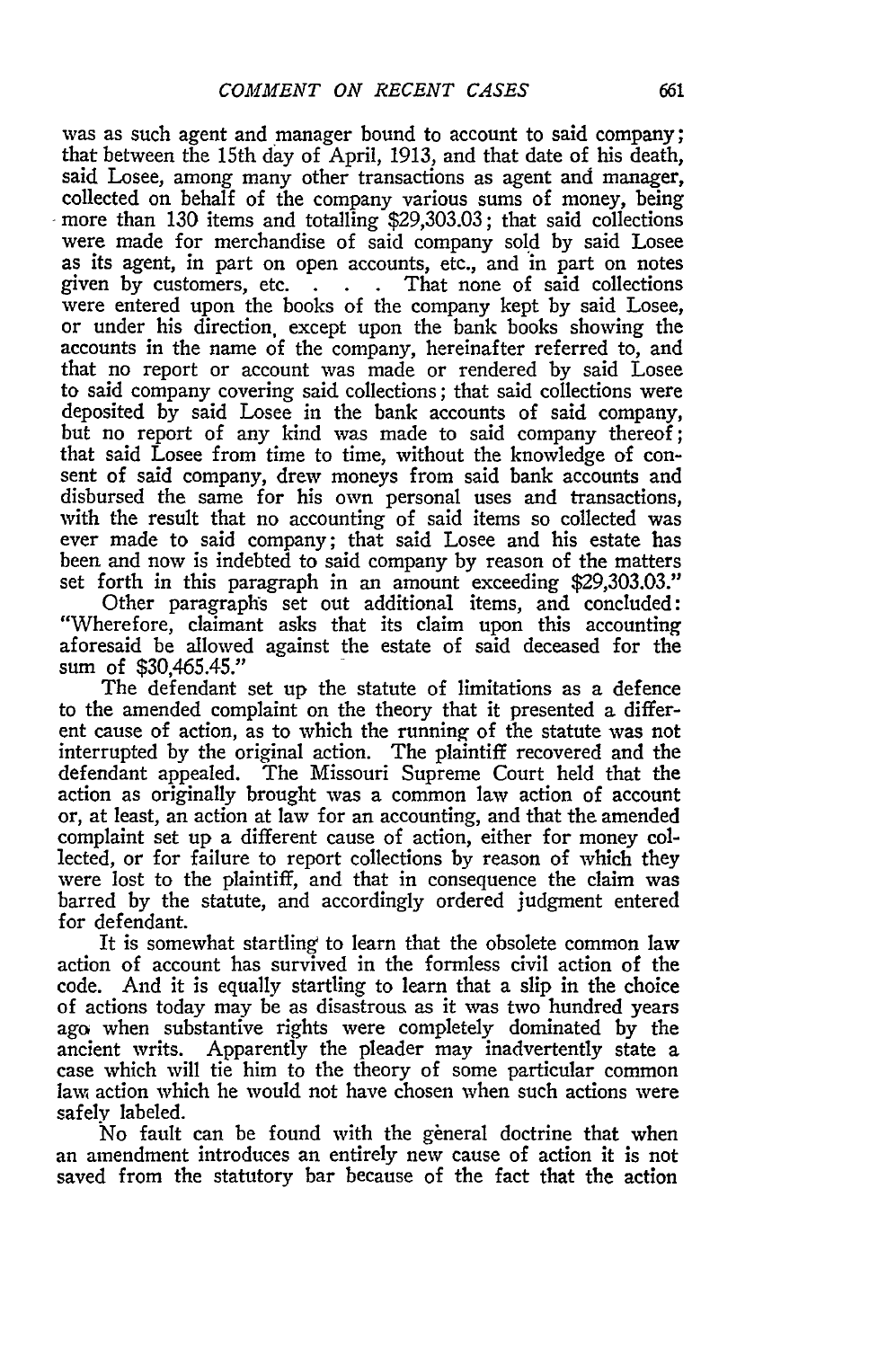was as such agent and manager bound to account to said company; that between the 15th day of April, 1913, and that date of his death, said Losee, among many other transactions as agent and manager, collected on behalf of the company various sums of money, being more than 130 items and totalling \$29,303.03; that said collections were made for merchandise of said company sold by said Losee as its agent, in part on open accounts, etc., and in part on notes given by customers, etc. **. . .** That none of said collections were entered upon the books of the company kept by said Losee, or under his direction, except upon the bank books showing the accounts in the name of the company, hereinafter referred to, and that no report or account was made or rendered by said Losee to said company covering said collections; that said collections were deposited by said Losee in the bank accounts of said company, but no report of any kind was made to said company thereof; that said Losee from time to time, without the knowledge of consent of said company, drew moneys from said bank accounts and disbursed the same for his own personal uses and transactions, with the result that no accounting of said items so collected was ever made to said company; that said Losee and his estate has been and now is indebted to said company by reason of the matters set forth in this paragraph in an amount exceeding \$29,303.03.'

Other paragraphs set out additional items, and concluded: "Wherefore, claimant asks that its claim upon this accounting aforesaid be allowed against the estate of said deceased for the sum of \$30,465.45."

The defendant set up the statute of limitations as a defence to the amended complaint on the theory that it presented a different cause of action, as to which the running of the statute was not interrupted **by** the original action. The plaintiff recovered and the defendant appealed. The Missouri Supreme Court held that the action as originally brought was a common law action of account or, at least, an action at law for an accounting, and that the amended complaint set up a different cause of action, either for money collected, or for failure to report collections **by** reason of which they were lost to the plaintiff, and that in consequence the claim was barred **by** the statute, and accordingly ordered judgment entered for defendant.

It is somewhat startling to learn that the obsolete common law action of account has survived in the formless civil action of the code. And it is equally startling to learn that a slip in the choice of actions today may be as disastrous as it was two hundred years ago when substantive rights were completely dominated **by** the ancient writs. Apparently the pleader may inadvertently state a case which will tie him to the theory of some particular common law action which he would not have chosen when such actions were safely labeled.

No fault can be found with the general doctrine that when an amendment introduces an entirely new cause of action it is not saved from the statutory bar because of the fact that the action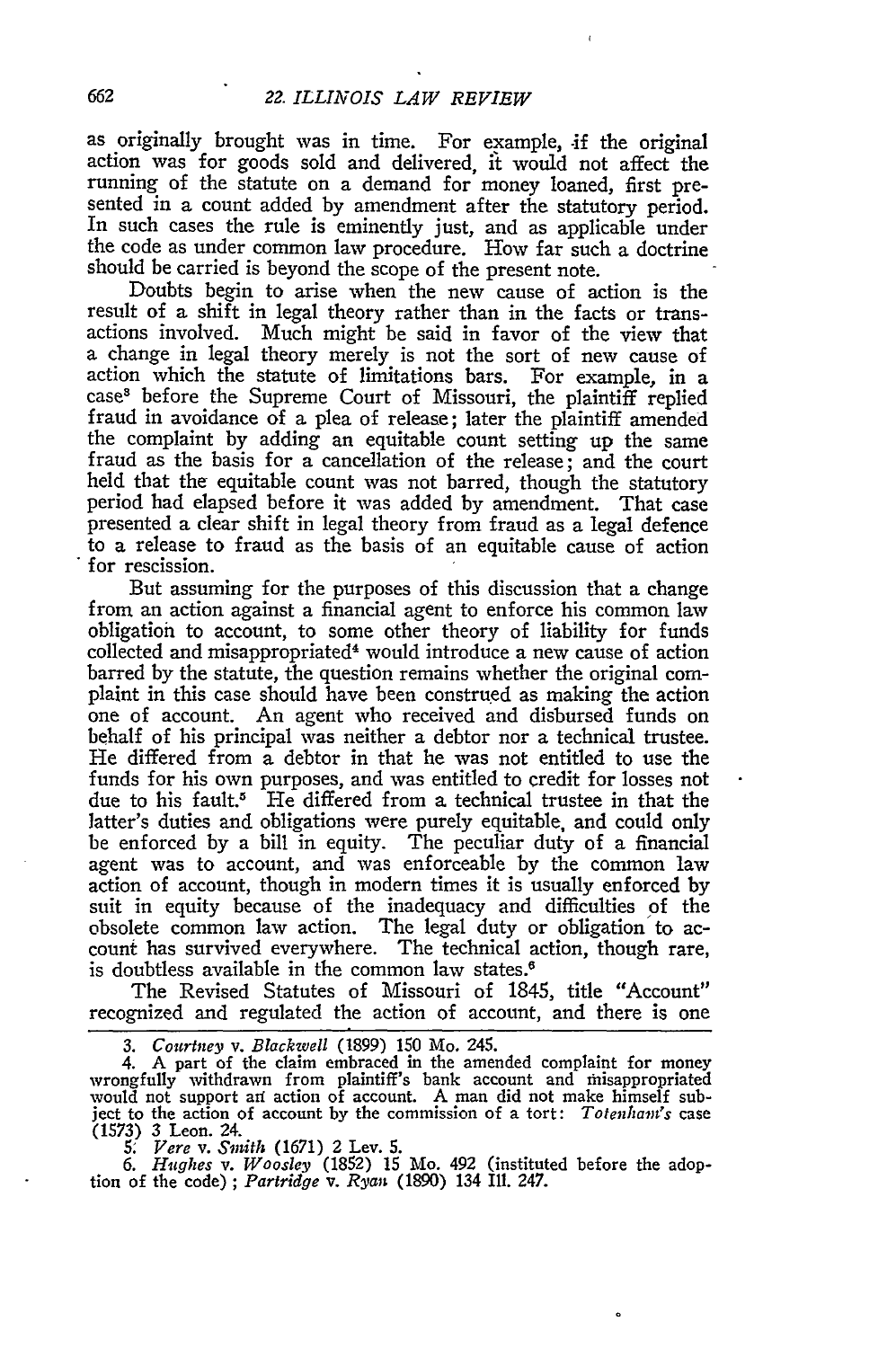as originally brought was in time. For example, if the original action was for goods sold and delivered, it would not affect the running of the statute on a demand for money loaned, first presented in a count added by amendment after the statutory period. In such cases the rule is eminently just, and as applicable under the code as under common law procedure. How far such a doctrine should be carried is beyond the scope of the present note.

Doubts begin to arise when the new cause of action is the result of a shift in legal theory rather than in the facts or transactions involved. Much might be said in favor of the view that a change in legal theory merely is not the sort of new cause of action which the statute of limitations bars. For example, in a cases before the Supreme Court of Missouri, the plaintiff replied fraud in avoidance of a plea of release; later the plaintiff amended the complaint by adding an equitable count setting up the same fraud as the basis for a cancellation of the release; and the court held that the equitable count was not barred, though the statutory period had elapsed before it was added by amendment. That case presented a clear shift in legal theory from fraud as a legal defence to a release to fraud as the basis of an equitable cause of action **for** rescission.

But assuming for the purposes of this discussion that a change from an action against a financial agent to enforce his common law obligation to account, to some other theory of liability for funds collected and misappropriated4 would introduce a new cause of action barred by the statute, the question remains whether the original complaint in this case should have been construed as making the action one of account. An agent who received and disbursed funds on behalf of his principal was neither a debtor nor a technical trustee. He differed from a debtor in that he was not entitled to use the funds for his own purposes, and was entitled to credit for losses not due to his fault." He differed from a technical trustee in that the latter's duties and obligations were purely equitable, and could only be enforced by a bill in equity. The peculiar duty of a financial agent was to account, and was enforceable by the common law action of account, though in modern times it is usually enforced by suit in equity because of the inadequacy and difficulties of the obsolete common law action. The legal duty or obligation to account has survived everywhere. The technical action, though rare, is doubtless available in the common law states.<sup>6</sup>

The Revised Statutes of Missouri of 1845, title "Account" recognized and regulated the action of account, and there is one

*3. Courtney v. Blackwell* (1899) **150** Mo. 245. 4. A part of the claim embraced in the amended complaint for money wrongfully withdrawn from plaintiff's bank account and misappropriated would not support ari action of account. A man did not make himself subject to the action of account by the commission of a tort: *Totenhan's* case (1573) 3 Leon. 24. *5. Vere v. Smith* (1671) 2 Lev. 5.

*6. Hughes v. Woosley* (1852) 15 Mo. 492 (instituted before the adop- tion of the code) *; Partridge v. Ryan* (1890) 134 Ill. 247.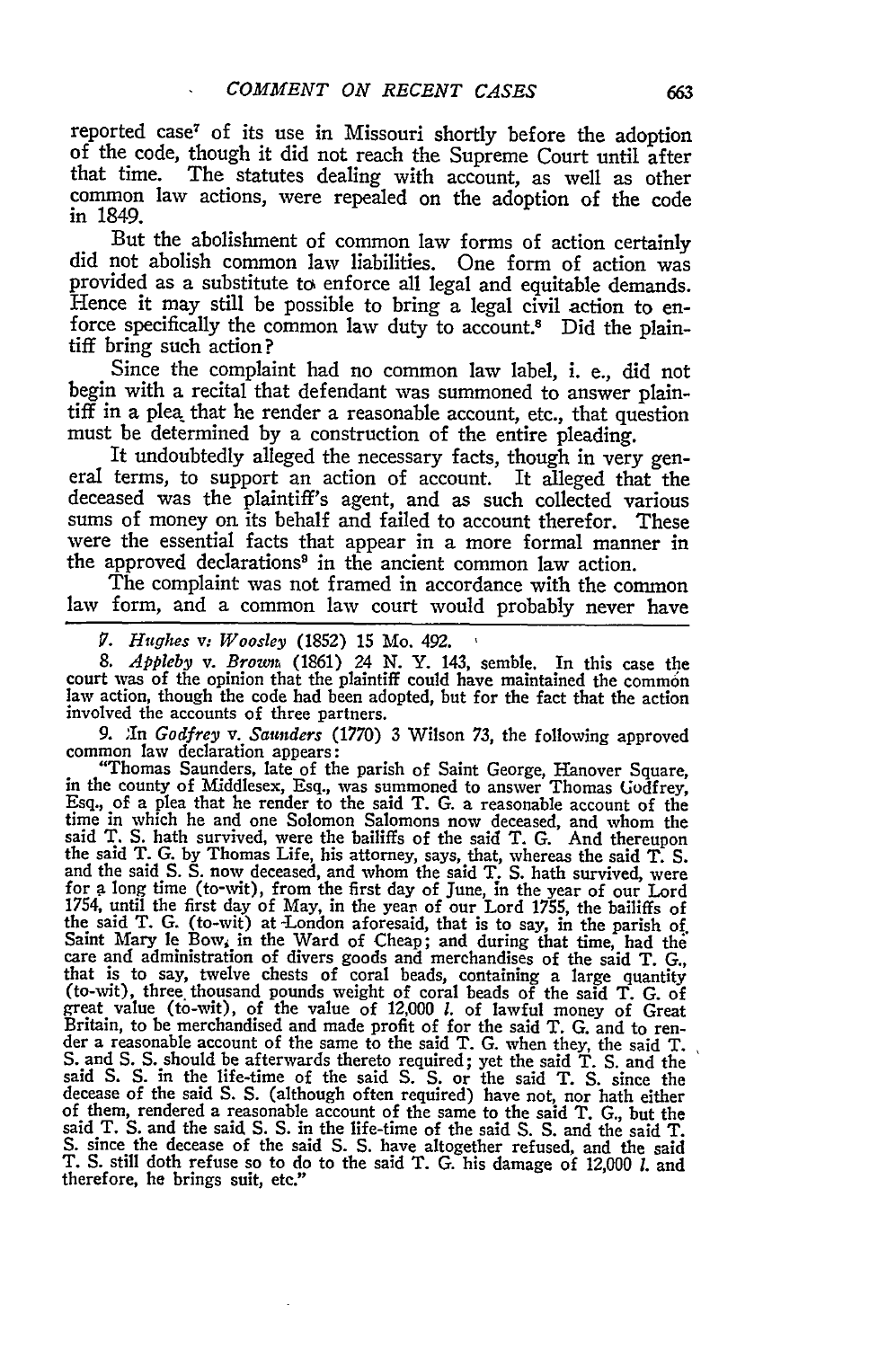reported case? of its use in Missouri shortly before the adoption of the code, though it did not reach the Supreme Court until after that time. The statutes dealing with account, as well as other common law actions, were repealed on the adoption of the code in 1849.

But the abolishment of common law forms of action certainly did not abolish common law liabilities. One form of action was provided as a substitute to enforce all legal and equitable demands. Hence it may still be possible to bring a legal civil action to enforce specifically the common law duty to account.8 Did the plaintiff bring such action?

Since the complaint had no common law label, i. e., did not begin with a recital that defendant was summoned to answer plaintiff in a plea that he render a reasonable account, etc., that question must be determined by a construction of the entire pleading.

It undoubtedly alleged the necessary facts, though in very general terms, to support an action of account. It alleged that the sums of money on its behalf and failed to account therefor. These were the essential facts that appear in a more formal manner in the approved declarations<sup>9</sup> in the ancient common law action.<br>The complaint was not framed in accordance with the common

law form, and a common law court would probably never have

*7. Hughes v; Woosley* (1852) 15 Mo. 492. **,**

*8. Appleby* v. *Browm* (1861) 24 N. Y. 143, semble. In this case the court was of the opinion that the plaintiff could have maintained the common law action, though the code had been adopted, but for the fact that the action involved the accounts of three partners.

9. In Godfrey v. Saunders (1770) 3 Wilson 73, the following approved<br>common law declaration appears:<br>"Thomas Saunders, late of the parish of Saint George, Hanover Square,<br>in the county of Middlesex, Esq., was summoned to Esq., of a plea that he render to the said T. G. a reasonable account of the time in which he and one Solomon Salomons now deceased, and whom the said T. S. hath survived, were the bailiffs of the said T. G. And thereupon the said T. G. by Thomas Life, his attorney, says, that, whereas the said T. S. and the said S. S. now deceased, and whom the said T. S. hath survived, were for a long time (to-wit), from the first day of June, in the year of our Lord 1754, until the first day of May, in the year of our Lord **1755,** the bailiffs of the said T. G. (to-wit) at -London aforesaid, that is to say, in the parish of. Saint Mary le Bow, in the Ward of Cheap; and during that time, had the<br>care and administration of divers goods and merchandises of the said T. G.,<br>that is to say, twelve chests of coral beads, containing a large quantity<br>( that is to say, twelve chests of coral beads, containing a large quantity (to-wit), three thousand pounds weight of coral beads of the said T. G. of great value (to-wit), of the value of 12,000 *l*. of lawful money of Grea Britain, to be merchandised and made profit of for the said T. G. and to read-<br>der a reasonable account of the same to the said T. G. when they, the said T.<br>S. and S. S. should be afterwards thereto required; yet the said said S. S. in the life-time of the said S. **S.** or the said T. S. since the decease of the said S. S. (although often required) have not, nor hath either of them, rendered a reasonable account of the same to the said T. G., but the<br>said T. S. and the said S. S. in the life-time of the said S. S. and the said T.<br>S. since the decease of the said S. S. have altogether refused, S. since the decease of the said S. S. have altogether refused, and the said T. S. still doth refuse so to do to the said T. G. his damage of 12,000 *I*. and therefore, he brings suit, etc."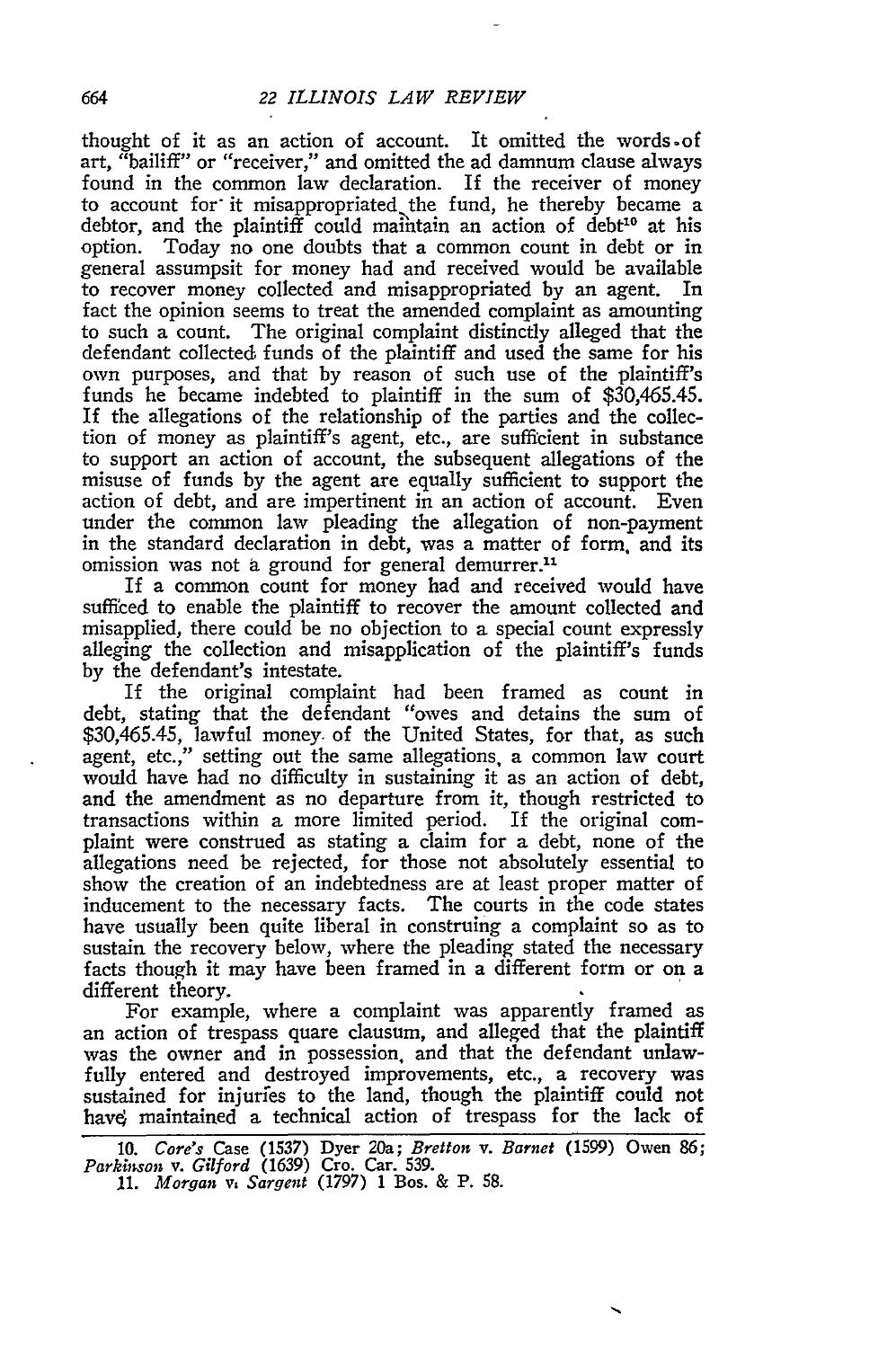thought of it as an action of account. It omitted the words-of art, "bailiff" or "receiver," and omitted the ad damnum clause always found in the common law declaration. If the receiver of money to account for it misappropriated the fund, he thereby became a debtor, and the plaintiff could maintain an action of debt<sup>10</sup> at his option. Today no one doubts that a common count in debt or in general assumpsit for money had and received would be available to recover money collected and misappropriated **by** an agent. In fact the opinion seems to treat the amended complaint as amounting to such a count. The original complaint distinctly alleged that the defendant collected funds of the plaintiff and used the same for his own purposes, and that **by** reason of such use of the plaintiff's funds he became indebted to plaintiff in the sum of \$30,465.45. If the allegations of the relationship of the parties and the collection of money as plaintiff's agent, etc., are sufficient in substance to support an action of account, the subsequent allegations of the misuse of funds **by** the agent are equally sufficient to support the action of debt, and are impertinent in an action of account. Even under the common law pleading the allegation of non-payment in the standard declaration in debt, was a matter of form. and its omission was not a ground for general demurrer.<sup>11</sup>

If a common count for money had and received would have sufficed to enable the plaintiff to recover the amount collected and misapplied, there could be no objection to a special count expressly alleging the collection and misapplication of the plaintiff's funds **by** the defendant's intestate.

If the original complaint had been framed as count in debt, stating that the defendant "owes and detains the sum of \$30,465.45, lawful money. of the United States, for that, as such agent, etc.," setting out the same allegations, a common law court would have had no difficulty in sustaining it as an action of debt, and the amendment as no departure from it, though restricted to transactions within a more limited period. If the original complaint were construed as stating a claim for a debt, none of the allegations need be rejected, for those not absolutely essential to show the creation of an indebtedness are at least proper matter of inducement to the necessary facts. The courts in the code states have usually been quite liberal in construing a complaint so as to sustain the recovery below, where the pleading stated the necessary facts though it may have been framed in a different form or on a different theory.

For example, where a complaint was apparently framed as an action of trespass quare clausum, and alleged that the plaintiff was the owner and in possession, and that the defendant unlawfully entered and destroyed improvements, etc., a recovery was sustained for injurfes to the land, though the plaintiff could not have maintained a technical action of trespass for the lack of

664

**<sup>10.</sup>** *Core's* Case (1537) Dyer 20a; *Bretton v. Barnet* (1599) Owen **86;** *Parkinson v. Gilford* (1639) Cro. Car. **539. 11.** *Morgan v. Sargent* (1797) 1 Bos. & P. **58.**